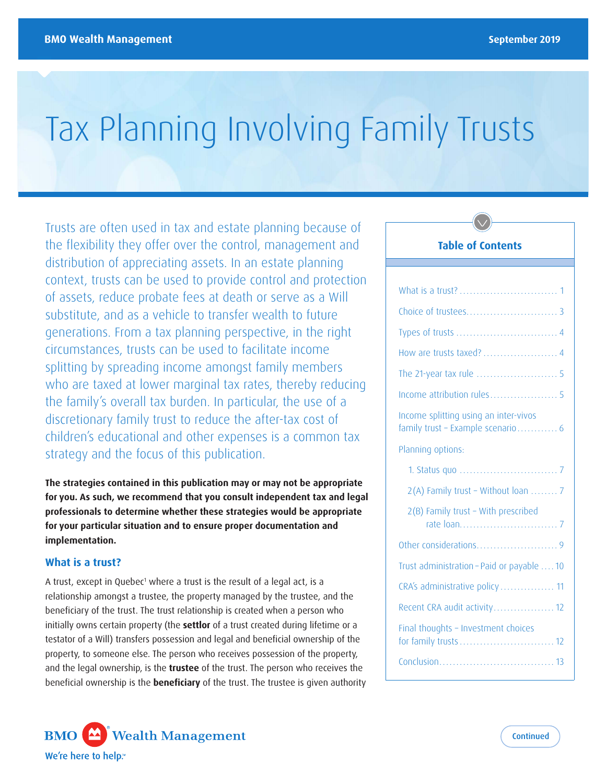# Tax Planning Involving Family Trusts

Trusts are often used in tax and estate planning because of the flexibility they offer over the control, management and distribution of appreciating assets. In an estate planning context, trusts can be used to provide control and protection of assets, reduce probate fees at death or serve as a Will substitute, and as a vehicle to transfer wealth to future generations. From a tax planning perspective, in the right circumstances, trusts can be used to facilitate income splitting by spreading income amongst family members who are taxed at lower marginal tax rates, thereby reducing the family's overall tax burden. In particular, the use of a discretionary family trust to reduce the after-tax cost of children's educational and other expenses is a common tax strategy and the focus of this publication.

**The strategies contained in this publication may or may not be appropriate for you. As such, we recommend that you consult independent tax and legal professionals to determine whether these strategies would be appropriate for your particular situation and to ensure proper documentation and implementation.** 

#### **What is a trust?**

A trust, except in Quebec<sup>1</sup> where a trust is the result of a legal act, is a relationship amongst a trustee, the property managed by the trustee, and the beneficiary of the trust. The trust relationship is created when a person who initially owns certain property (the **settlor** of a trust created during lifetime or a testator of a Will) transfers possession and legal and beneficial ownership of the property, to someone else. The person who receives possession of the property, and the legal ownership, is the **trustee** of the trust. The person who receives the beneficial ownership is the **beneficiary** of the trust. The trustee is given authority



| Income attribution rules 5                                                 |
|----------------------------------------------------------------------------|
| Income splitting using an inter-vivos<br>family trust - Example scenario 6 |
| Planning options:                                                          |
|                                                                            |
| 2(A) Family trust - Without loan  7                                        |
| 2(B) Family trust - With prescribed                                        |
|                                                                            |
| Trust administration - Paid or payable  10                                 |
| CRA's administrative policy 11                                             |
| Recent CRA audit activity 12                                               |
| Final thoughts - Investment choices                                        |
|                                                                            |

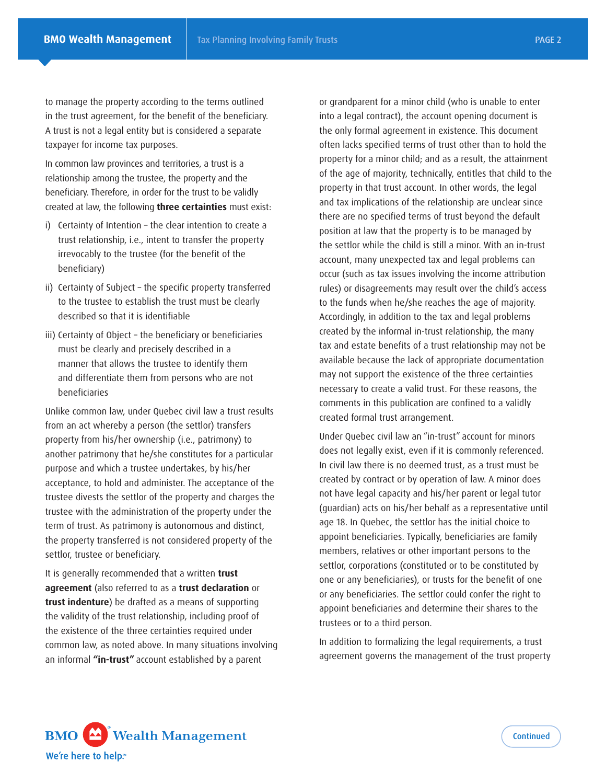to manage the property according to the terms outlined in the trust agreement, for the benefit of the beneficiary. A trust is not a legal entity but is considered a separate taxpayer for income tax purposes.

In common law provinces and territories, a trust is a relationship among the trustee, the property and the beneficiary. Therefore, in order for the trust to be validly created at law, the following **three certainties** must exist:

- i) Certainty of Intention the clear intention to create a trust relationship, i.e., intent to transfer the property irrevocably to the trustee (for the benefit of the beneficiary)
- ii) Certainty of Subject the specific property transferred to the trustee to establish the trust must be clearly described so that it is identifiable
- iii) Certainty of Object the beneficiary or beneficiaries must be clearly and precisely described in a manner that allows the trustee to identify them and differentiate them from persons who are not beneficiaries

Unlike common law, under Quebec civil law a trust results from an act whereby a person (the settlor) transfers property from his/her ownership (i.e., patrimony) to another patrimony that he/she constitutes for a particular purpose and which a trustee undertakes, by his/her acceptance, to hold and administer. The acceptance of the trustee divests the settlor of the property and charges the trustee with the administration of the property under the term of trust. As patrimony is autonomous and distinct, the property transferred is not considered property of the settlor, trustee or beneficiary.

It is generally recommended that a written **trust agreement** (also referred to as a **trust declaration** or **trust indenture**) be drafted as a means of supporting the validity of the trust relationship, including proof of the existence of the three certainties required under common law, as noted above. In many situations involving an informal **"in-trust"** account established by a parent

or grandparent for a minor child (who is unable to enter into a legal contract), the account opening document is the only formal agreement in existence. This document often lacks specified terms of trust other than to hold the property for a minor child; and as a result, the attainment of the age of majority, technically, entitles that child to the property in that trust account. In other words, the legal and tax implications of the relationship are unclear since there are no specified terms of trust beyond the default position at law that the property is to be managed by the settlor while the child is still a minor. With an in-trust account, many unexpected tax and legal problems can occur (such as tax issues involving the income attribution rules) or disagreements may result over the child's access to the funds when he/she reaches the age of majority. Accordingly, in addition to the tax and legal problems created by the informal in-trust relationship, the many tax and estate benefits of a trust relationship may not be available because the lack of appropriate documentation may not support the existence of the three certainties necessary to create a valid trust. For these reasons, the comments in this publication are confined to a validly created formal trust arrangement.

Under Quebec civil law an "in-trust" account for minors does not legally exist, even if it is commonly referenced. In civil law there is no deemed trust, as a trust must be created by contract or by operation of law. A minor does not have legal capacity and his/her parent or legal tutor (guardian) acts on his/her behalf as a representative until age 18. In Quebec, the settlor has the initial choice to appoint beneficiaries. Typically, beneficiaries are family members, relatives or other important persons to the settlor, corporations (constituted or to be constituted by one or any beneficiaries), or trusts for the benefit of one or any beneficiaries. The settlor could confer the right to appoint beneficiaries and determine their shares to the trustees or to a third person.

In addition to formalizing the legal requirements, a trust agreement governs the management of the trust property

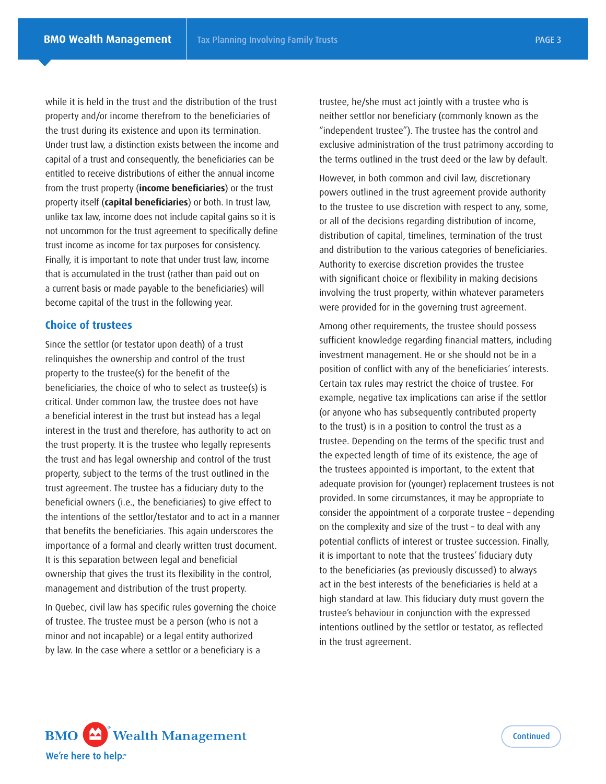while it is held in the trust and the distribution of the trust property and/or income therefrom to the beneficiaries of the trust during its existence and upon its termination. Under trust law, a distinction exists between the income and capital of a trust and consequently, the beneficiaries can be entitled to receive distributions of either the annual income from the trust property (**income beneficiaries**) or the trust property itself (**capital beneficiaries**) or both. In trust law, unlike tax law, income does not include capital gains so it is not uncommon for the trust agreement to specifically define trust income as income for tax purposes for consistency. Finally, it is important to note that under trust law, income that is accumulated in the trust (rather than paid out on a current basis or made payable to the beneficiaries) will become capital of the trust in the following year.

#### **Choice of trustees**

Since the settlor (or testator upon death) of a trust relinquishes the ownership and control of the trust property to the trustee(s) for the benefit of the beneficiaries, the choice of who to select as trustee(s) is critical. Under common law, the trustee does not have a beneficial interest in the trust but instead has a legal interest in the trust and therefore, has authority to act on the trust property. It is the trustee who legally represents the trust and has legal ownership and control of the trust property, subject to the terms of the trust outlined in the trust agreement. The trustee has a fiduciary duty to the beneficial owners (i.e., the beneficiaries) to give effect to the intentions of the settlor/testator and to act in a manner that benefits the beneficiaries. This again underscores the importance of a formal and clearly written trust document. It is this separation between legal and beneficial ownership that gives the trust its flexibility in the control, management and distribution of the trust property.

In Quebec, civil law has specific rules governing the choice of trustee. The trustee must be a person (who is not a minor and not incapable) or a legal entity authorized by law. In the case where a settlor or a beneficiary is a

trustee, he/she must act jointly with a trustee who is neither settlor nor beneficiary (commonly known as the "independent trustee"). The trustee has the control and exclusive administration of the trust patrimony according to the terms outlined in the trust deed or the law by default.

However, in both common and civil law, discretionary powers outlined in the trust agreement provide authority to the trustee to use discretion with respect to any, some, or all of the decisions regarding distribution of income, distribution of capital, timelines, termination of the trust and distribution to the various categories of beneficiaries. Authority to exercise discretion provides the trustee with significant choice or flexibility in making decisions involving the trust property, within whatever parameters were provided for in the governing trust agreement.

Among other requirements, the trustee should possess sufficient knowledge regarding financial matters, including investment management. He or she should not be in a position of conflict with any of the beneficiaries' interests. Certain tax rules may restrict the choice of trustee. For example, negative tax implications can arise if the settlor (or anyone who has subsequently contributed property to the trust) is in a position to control the trust as a trustee. Depending on the terms of the specific trust and the expected length of time of its existence, the age of the trustees appointed is important, to the extent that adequate provision for (younger) replacement trustees is not provided. In some circumstances, it may be appropriate to consider the appointment of a corporate trustee – depending on the complexity and size of the trust – to deal with any potential conflicts of interest or trustee succession. Finally, it is important to note that the trustees' fiduciary duty to the beneficiaries (as previously discussed) to always act in the best interests of the beneficiaries is held at a high standard at law. This fiduciary duty must govern the trustee's behaviour in conjunction with the expressed intentions outlined by the settlor or testator, as reflected in the trust agreement.

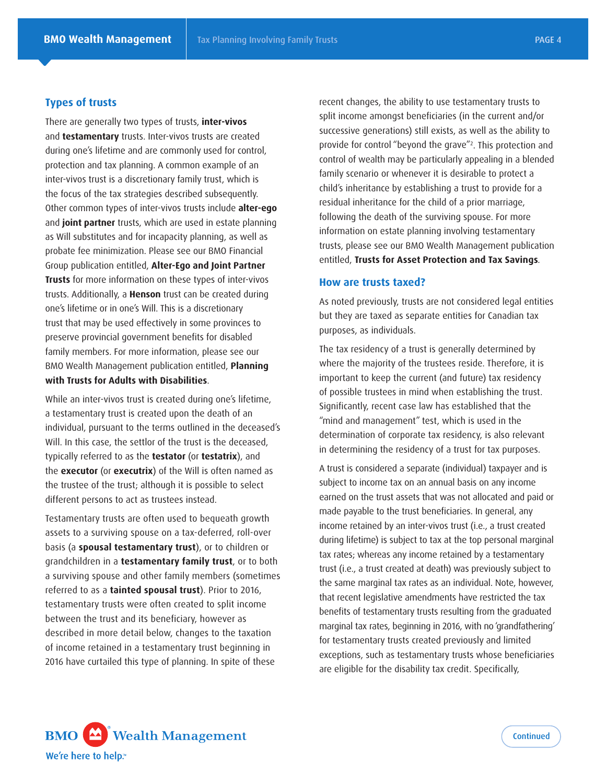#### **Types of trusts**

There are generally two types of trusts, **inter-vivos**  and **testamentary** trusts. Inter-vivos trusts are created during one's lifetime and are commonly used for control, protection and tax planning. A common example of an inter-vivos trust is a discretionary family trust, which is the focus of the tax strategies described subsequently. Other common types of inter-vivos trusts include **alter-ego**  and **joint partner** trusts, which are used in estate planning as Will substitutes and for incapacity planning, as well as probate fee minimization. Please see our BMO Financial Group publication entitled, **Alter-Ego and Joint Partner Trusts** for more information on these types of inter-vivos trusts. Additionally, a **Henson** trust can be created during one's lifetime or in one's Will. This is a discretionary trust that may be used effectively in some provinces to preserve provincial government benefits for disabled family members. For more information, please see our BMO Wealth Management publication entitled, **Planning with Trusts for Adults with Disabilities**.

While an inter-vivos trust is created during one's lifetime, a testamentary trust is created upon the death of an individual, pursuant to the terms outlined in the deceased's Will. In this case, the settlor of the trust is the deceased, typically referred to as the **testator** (or **testatrix**), and the **executor** (or **executrix**) of the Will is often named as the trustee of the trust; although it is possible to select different persons to act as trustees instead.

Testamentary trusts are often used to bequeath growth assets to a surviving spouse on a tax-deferred, roll-over basis (a **spousal testamentary trust**), or to children or grandchildren in a **testamentary family trust**, or to both a surviving spouse and other family members (sometimes referred to as a **tainted spousal trust**). Prior to 2016, testamentary trusts were often created to split income between the trust and its beneficiary, however as described in more detail below, changes to the taxation of income retained in a testamentary trust beginning in 2016 have curtailed this type of planning. In spite of these

recent changes, the ability to use testamentary trusts to split income amongst beneficiaries (in the current and/or successive generations) still exists, as well as the ability to provide for control "beyond the grave"2 . This protection and control of wealth may be particularly appealing in a blended family scenario or whenever it is desirable to protect a child's inheritance by establishing a trust to provide for a residual inheritance for the child of a prior marriage, following the death of the surviving spouse. For more information on estate planning involving testamentary trusts, please see our BMO Wealth Management publication entitled, **Trusts for Asset Protection and Tax Savings***.* 

#### **How are trusts taxed?**

As noted previously, trusts are not considered legal entities but they are taxed as separate entities for Canadian tax purposes, as individuals.

The tax residency of a trust is generally determined by where the majority of the trustees reside. Therefore, it is important to keep the current (and future) tax residency of possible trustees in mind when establishing the trust. Significantly, recent case law has established that the "mind and management" test, which is used in the determination of corporate tax residency, is also relevant in determining the residency of a trust for tax purposes.

A trust is considered a separate (individual) taxpayer and is subject to income tax on an annual basis on any income earned on the trust assets that was not allocated and paid or made payable to the trust beneficiaries. In general, any income retained by an inter-vivos trust (i.e., a trust created during lifetime) is subject to tax at the top personal marginal tax rates; whereas any income retained by a testamentary trust (i.e., a trust created at death) was previously subject to the same marginal tax rates as an individual. Note, however, that recent legislative amendments have restricted the tax benefits of testamentary trusts resulting from the graduated marginal tax rates, beginning in 2016, with no 'grandfathering' for testamentary trusts created previously and limited exceptions, such as testamentary trusts whose beneficiaries are eligible for the disability tax credit. Specifically,

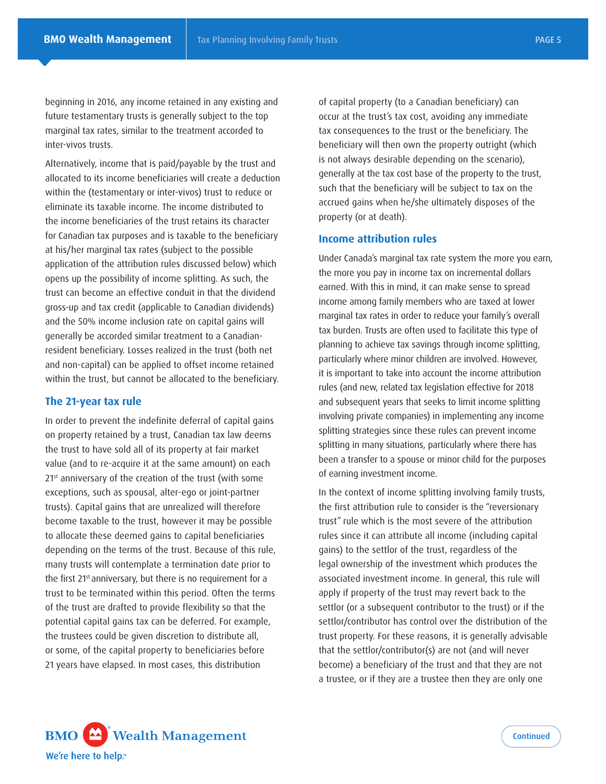beginning in 2016, any income retained in any existing and future testamentary trusts is generally subject to the top marginal tax rates, similar to the treatment accorded to inter-vivos trusts.

Alternatively, income that is paid/payable by the trust and allocated to its income beneficiaries will create a deduction within the (testamentary or inter-vivos) trust to reduce or eliminate its taxable income. The income distributed to the income beneficiaries of the trust retains its character for Canadian tax purposes and is taxable to the beneficiary at his/her marginal tax rates (subject to the possible application of the attribution rules discussed below) which opens up the possibility of income splitting. As such, the trust can become an effective conduit in that the dividend gross-up and tax credit (applicable to Canadian dividends) and the 50% income inclusion rate on capital gains will generally be accorded similar treatment to a Canadianresident beneficiary. Losses realized in the trust (both net and non-capital) can be applied to offset income retained within the trust, but cannot be allocated to the beneficiary.

#### **The 21-year tax rule**

In order to prevent the indefinite deferral of capital gains on property retained by a trust, Canadian tax law deems the trust to have sold all of its property at fair market value (and to re-acquire it at the same amount) on each 21<sup>st</sup> anniversary of the creation of the trust (with some exceptions, such as spousal, alter-ego or joint-partner trusts). Capital gains that are unrealized will therefore become taxable to the trust, however it may be possible to allocate these deemed gains to capital beneficiaries depending on the terms of the trust. Because of this rule, many trusts will contemplate a termination date prior to the first 21<sup>st</sup> anniversary, but there is no requirement for a trust to be terminated within this period. Often the terms of the trust are drafted to provide flexibility so that the potential capital gains tax can be deferred. For example, the trustees could be given discretion to distribute all, or some, of the capital property to beneficiaries before 21 years have elapsed. In most cases, this distribution

of capital property (to a Canadian beneficiary) can occur at the trust's tax cost, avoiding any immediate tax consequences to the trust or the beneficiary. The beneficiary will then own the property outright (which is not always desirable depending on the scenario), generally at the tax cost base of the property to the trust, such that the beneficiary will be subject to tax on the accrued gains when he/she ultimately disposes of the property (or at death).

### **Income attribution rules**

Under Canada's marginal tax rate system the more you earn, the more you pay in income tax on incremental dollars earned. With this in mind, it can make sense to spread income among family members who are taxed at lower marginal tax rates in order to reduce your family's overall tax burden. Trusts are often used to facilitate this type of planning to achieve tax savings through income splitting, particularly where minor children are involved. However, it is important to take into account the income attribution rules (and new, related tax legislation effective for 2018 and subsequent years that seeks to limit income splitting involving private companies) in implementing any income splitting strategies since these rules can prevent income splitting in many situations, particularly where there has been a transfer to a spouse or minor child for the purposes of earning investment income.

In the context of income splitting involving family trusts, the first attribution rule to consider is the "reversionary trust" rule which is the most severe of the attribution rules since it can attribute all income (including capital gains) to the settlor of the trust, regardless of the legal ownership of the investment which produces the associated investment income. In general, this rule will apply if property of the trust may revert back to the settlor (or a subsequent contributor to the trust) or if the settlor/contributor has control over the distribution of the trust property. For these reasons, it is generally advisable that the settlor/contributor(s) are not (and will never become) a beneficiary of the trust and that they are not a trustee, or if they are a trustee then they are only one

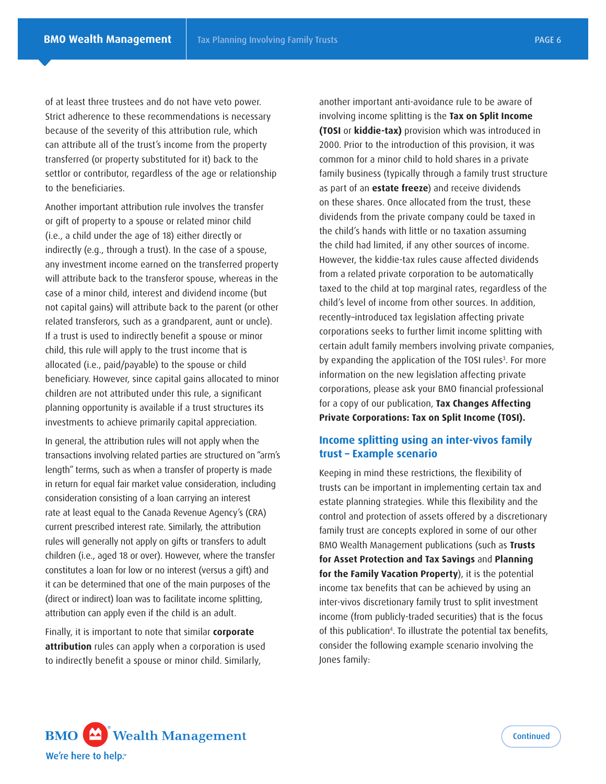of at least three trustees and do not have veto power. Strict adherence to these recommendations is necessary because of the severity of this attribution rule, which can attribute all of the trust's income from the property transferred (or property substituted for it) back to the settlor or contributor, regardless of the age or relationship to the beneficiaries.

Another important attribution rule involves the transfer or gift of property to a spouse or related minor child (i.e., a child under the age of 18) either directly or indirectly (e.g., through a trust). In the case of a spouse, any investment income earned on the transferred property will attribute back to the transferor spouse, whereas in the case of a minor child, interest and dividend income (but not capital gains) will attribute back to the parent (or other related transferors, such as a grandparent, aunt or uncle). If a trust is used to indirectly benefit a spouse or minor child, this rule will apply to the trust income that is allocated (i.e., paid/payable) to the spouse or child beneficiary. However, since capital gains allocated to minor children are not attributed under this rule, a significant planning opportunity is available if a trust structures its investments to achieve primarily capital appreciation.

In general, the attribution rules will not apply when the transactions involving related parties are structured on "arm's length" terms, such as when a transfer of property is made in return for equal fair market value consideration, including consideration consisting of a loan carrying an interest rate at least equal to the Canada Revenue Agency's (CRA) current prescribed interest rate. Similarly, the attribution rules will generally not apply on gifts or transfers to adult children (i.e., aged 18 or over). However, where the transfer constitutes a loan for low or no interest (versus a gift) and it can be determined that one of the main purposes of the (direct or indirect) loan was to facilitate income splitting, attribution can apply even if the child is an adult.

Finally, it is important to note that similar **corporate attribution** rules can apply when a corporation is used to indirectly benefit a spouse or minor child. Similarly,

another important anti-avoidance rule to be aware of involving income splitting is the **Tax on Split Income (TOSI** or **kiddie-tax)** provision which was introduced in 2000. Prior to the introduction of this provision, it was common for a minor child to hold shares in a private family business (typically through a family trust structure as part of an **estate freeze**) and receive dividends on these shares. Once allocated from the trust, these dividends from the private company could be taxed in the child's hands with little or no taxation assuming the child had limited, if any other sources of income. However, the kiddie-tax rules cause affected dividends from a related private corporation to be automatically taxed to the child at top marginal rates, regardless of the child's level of income from other sources. In addition, recently–introduced tax legislation affecting private corporations seeks to further limit income splitting with certain adult family members involving private companies, by expanding the application of the TOSI rules<sup>3</sup>. For more information on the new legislation affecting private corporations, please ask your BMO financial professional for a copy of our publication, **Tax Changes Affecting Private Corporations: Tax on Split Income (TOSI).** 

# **Income splitting using an inter-vivos family trust – Example scenario**

Keeping in mind these restrictions, the flexibility of trusts can be important in implementing certain tax and estate planning strategies. While this flexibility and the control and protection of assets offered by a discretionary family trust are concepts explored in some of our other BMO Wealth Management publications (such as **Trusts for Asset Protection and Tax Savings** and **Planning for the Family Vacation Property**), it is the potential income tax benefits that can be achieved by using an inter-vivos discretionary family trust to split investment income (from publicly-traded securities) that is the focus of this publication4 . To illustrate the potential tax benefits, consider the following example scenario involving the Jones family:

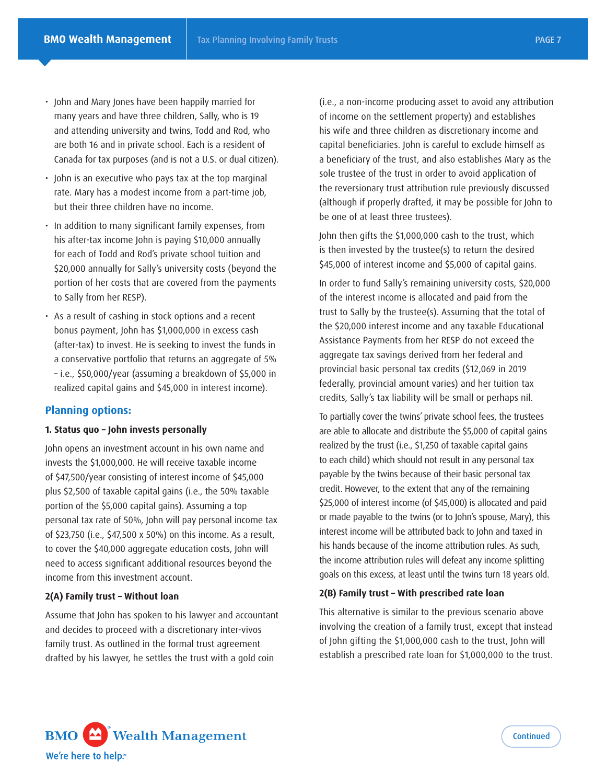- John and Mary Jones have been happily married for many years and have three children, Sally, who is 19 and attending university and twins, Todd and Rod, who are both 16 and in private school. Each is a resident of Canada for tax purposes (and is not a U.S. or dual citizen).
- John is an executive who pays tax at the top marginal rate. Mary has a modest income from a part-time job, but their three children have no income.
- In addition to many significant family expenses, from his after-tax income John is paying \$10,000 annually for each of Todd and Rod's private school tuition and \$20,000 annually for Sally's university costs (beyond the portion of her costs that are covered from the payments to Sally from her RESP).
- As a result of cashing in stock options and a recent bonus payment, John has \$1,000,000 in excess cash (after-tax) to invest. He is seeking to invest the funds in a conservative portfolio that returns an aggregate of 5% – i.e., \$50,000/year (assuming a breakdown of \$5,000 in realized capital gains and \$45,000 in interest income).

### **Planning options:**

#### **1. Status quo – John invests personally**

John opens an investment account in his own name and invests the \$1,000,000. He will receive taxable income of \$47,500/year consisting of interest income of \$45,000 plus \$2,500 of taxable capital gains (i.e., the 50% taxable portion of the \$5,000 capital gains). Assuming a top personal tax rate of 50%, John will pay personal income tax of \$23,750 (i.e., \$47,500 x 50%) on this income. As a result, to cover the \$40,000 aggregate education costs, John will need to access significant additional resources beyond the income from this investment account.

#### **2(A) Family trust – Without loan**

Assume that John has spoken to his lawyer and accountant and decides to proceed with a discretionary inter-vivos family trust. As outlined in the formal trust agreement drafted by his lawyer, he settles the trust with a gold coin

(i.e., a non-income producing asset to avoid any attribution of income on the settlement property) and establishes his wife and three children as discretionary income and capital beneficiaries. John is careful to exclude himself as a beneficiary of the trust, and also establishes Mary as the sole trustee of the trust in order to avoid application of the reversionary trust attribution rule previously discussed (although if properly drafted, it may be possible for John to be one of at least three trustees).

John then gifts the \$1,000,000 cash to the trust, which is then invested by the trustee(s) to return the desired \$45,000 of interest income and \$5,000 of capital gains.

In order to fund Sally's remaining university costs, \$20,000 of the interest income is allocated and paid from the trust to Sally by the trustee(s). Assuming that the total of the \$20,000 interest income and any taxable Educational Assistance Payments from her RESP do not exceed the aggregate tax savings derived from her federal and provincial basic personal tax credits (\$12,069 in 2019 federally, provincial amount varies) and her tuition tax credits, Sally's tax liability will be small or perhaps nil.

To partially cover the twins' private school fees, the trustees are able to allocate and distribute the \$5,000 of capital gains realized by the trust (i.e., \$1,250 of taxable capital gains to each child) which should not result in any personal tax payable by the twins because of their basic personal tax credit. However, to the extent that any of the remaining \$25,000 of interest income (of \$45,000) is allocated and paid or made payable to the twins (or to John's spouse, Mary), this interest income will be attributed back to John and taxed in his hands because of the income attribution rules. As such, the income attribution rules will defeat any income splitting goals on this excess, at least until the twins turn 18 years old.

#### **2(B) Family trust – With prescribed rate loan**

This alternative is similar to the previous scenario above involving the creation of a family trust, except that instead of John gifting the \$1,000,000 cash to the trust, John will establish a prescribed rate loan for \$1,000,000 to the trust.

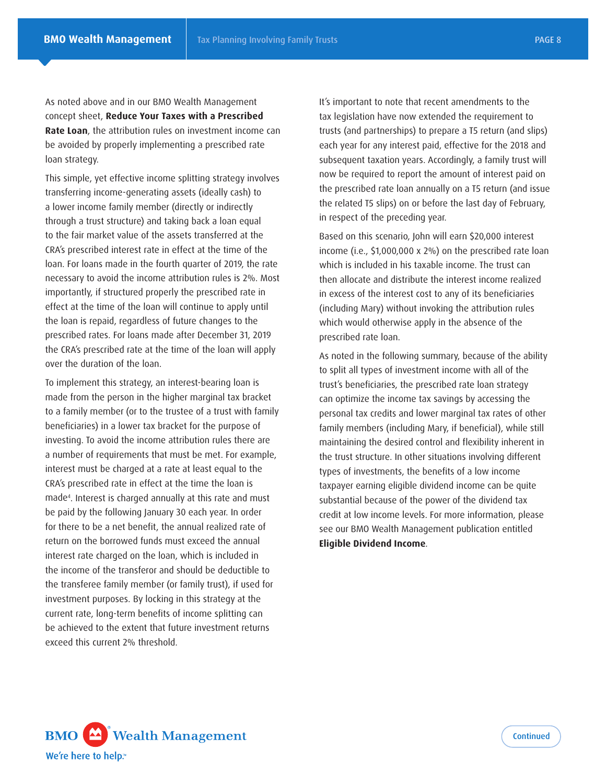As noted above and in our BMO Wealth Management concept sheet, **Reduce Your Taxes with a Prescribed Rate Loan**, the attribution rules on investment income can be avoided by properly implementing a prescribed rate loan strategy.

This simple, yet effective income splitting strategy involves transferring income-generating assets (ideally cash) to a lower income family member (directly or indirectly through a trust structure) and taking back a loan equal to the fair market value of the assets transferred at the CRA's prescribed interest rate in effect at the time of the loan. For loans made in the fourth quarter of 2019, the rate necessary to avoid the income attribution rules is 2%. Most importantly, if structured properly the prescribed rate in effect at the time of the loan will continue to apply until the loan is repaid, regardless of future changes to the prescribed rates. For loans made after December 31, 2019 the CRA's prescribed rate at the time of the loan will apply over the duration of the loan.

To implement this strategy, an interest-bearing loan is made from the person in the higher marginal tax bracket to a family member (or to the trustee of a trust with family beneficiaries) in a lower tax bracket for the purpose of investing. To avoid the income attribution rules there are a number of requirements that must be met. For example, interest must be charged at a rate at least equal to the CRA's prescribed rate in effect at the time the loan is made4 . Interest is charged annually at this rate and must be paid by the following January 30 each year. In order for there to be a net benefit, the annual realized rate of return on the borrowed funds must exceed the annual interest rate charged on the loan, which is included in the income of the transferor and should be deductible to the transferee family member (or family trust), if used for investment purposes. By locking in this strategy at the current rate, long-term benefits of income splitting can be achieved to the extent that future investment returns exceed this current 2% threshold.

It's important to note that recent amendments to the tax legislation have now extended the requirement to trusts (and partnerships) to prepare a T5 return (and slips) each year for any interest paid, effective for the 2018 and subsequent taxation years. Accordingly, a family trust will now be required to report the amount of interest paid on the prescribed rate loan annually on a T5 return (and issue the related T5 slips) on or before the last day of February, in respect of the preceding year.

Based on this scenario, John will earn \$20,000 interest income (i.e., \$1,000,000 x 2%) on the prescribed rate loan which is included in his taxable income. The trust can then allocate and distribute the interest income realized in excess of the interest cost to any of its beneficiaries (including Mary) without invoking the attribution rules which would otherwise apply in the absence of the prescribed rate loan.

As noted in the following summary, because of the ability to split all types of investment income with all of the trust's beneficiaries, the prescribed rate loan strategy can optimize the income tax savings by accessing the personal tax credits and lower marginal tax rates of other family members (including Mary, if beneficial), while still maintaining the desired control and flexibility inherent in the trust structure. In other situations involving different types of investments, the benefits of a low income taxpayer earning eligible dividend income can be quite substantial because of the power of the dividend tax credit at low income levels. For more information, please see our BMO Wealth Management publication entitled **Eligible Dividend Income***.* 

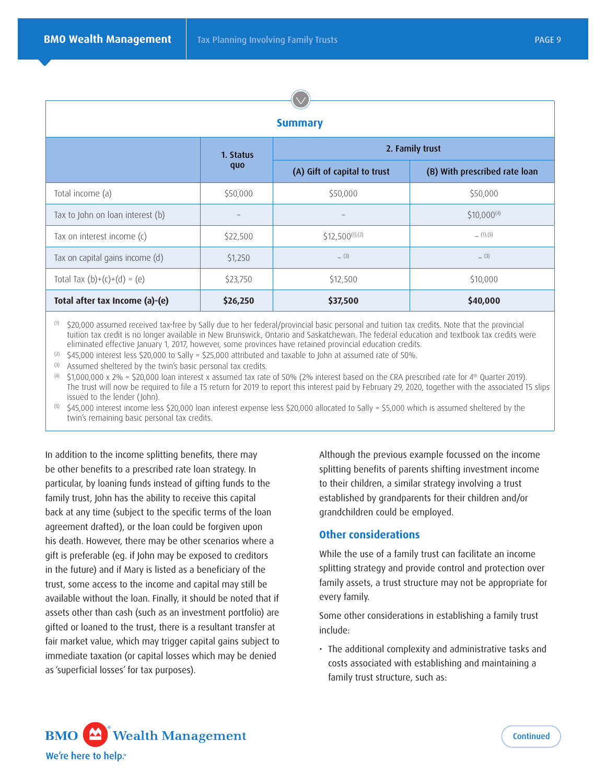| <b>Summary</b>                   |                   |                              |                               |  |
|----------------------------------|-------------------|------------------------------|-------------------------------|--|
|                                  | 1. Status<br>quo  | 2. Family trust              |                               |  |
|                                  |                   | (A) Gift of capital to trust | (B) With prescribed rate loan |  |
| Total income (a)                 | \$50,000          | \$50,000                     | \$50,000                      |  |
| Tax to John on loan interest (b) | $\qquad \qquad -$ |                              | $$10,000^{(4)}$               |  |
| Tax on interest income (c)       | \$22,500          | $$12,500^{(1),(2)}$          | (1), (5)                      |  |
| Tax on capital gains income (d)  | \$1,250           | $-$ (3)                      | $-$ (3)                       |  |
| Total Tax $(b)+(c)+(d) = (e)$    | \$23,750          | \$12,500                     | \$10,000                      |  |
| Total after tax Income (a)-(e)   | \$26,250          | \$37,500                     | \$40,000                      |  |

 $\sqrt{2}$ 

(1) \$20,000 assumed received tax-free by Sally due to her federal/provincial basic personal and tuition tax credits. Note that the provincial tuition tax credit is no longer available in New Brunswick, Ontario and Saskatchewan. The federal education and textbook tax credits were eliminated effective January 1, 2017, however, some provinces have retained provincial education credits.

(2)  $\frac{1}{2}$  \$45,000 interest less \$20,000 to Sally = \$25,000 attributed and taxable to John at assumed rate of 50%.

(3) Assumed sheltered by the twin's basic personal tax credits.

(4)  $$1,000,000 \times 2\% = $20,000$  loan interest x assumed tax rate of 50% (2% interest based on the CRA prescribed rate for 4th Quarter 2019). The trust will now be required to file a T5 return for 2019 to report this interest paid by February 29, 2020, together with the associated T5 slips issued to the lender (John).

(5) \$45,000 interest income less \$20,000 loan interest expense less \$20,000 allocated to Sally = \$5,000 which is assumed sheltered by the twin's remaining basic personal tax credits.

In addition to the income splitting benefits, there may be other benefits to a prescribed rate loan strategy. In particular, by loaning funds instead of gifting funds to the family trust, John has the ability to receive this capital back at any time (subject to the specific terms of the loan agreement drafted), or the loan could be forgiven upon his death. However, there may be other scenarios where a gift is preferable (eg. if John may be exposed to creditors in the future) and if Mary is listed as a beneficiary of the trust, some access to the income and capital may still be available without the loan. Finally, it should be noted that if assets other than cash (such as an investment portfolio) are gifted or loaned to the trust, there is a resultant transfer at fair market value, which may trigger capital gains subject to immediate taxation (or capital losses which may be denied as 'superficial losses' for tax purposes).

Although the previous example focussed on the income splitting benefits of parents shifting investment income to their children, a similar strategy involving a trust established by grandparents for their children and/or grandchildren could be employed.

### **Other considerations**

While the use of a family trust can facilitate an income splitting strategy and provide control and protection over family assets, a trust structure may not be appropriate for every family.

Some other considerations in establishing a family trust include:

• The additional complexity and administrative tasks and costs associated with establishing and maintaining a family trust structure, such as:

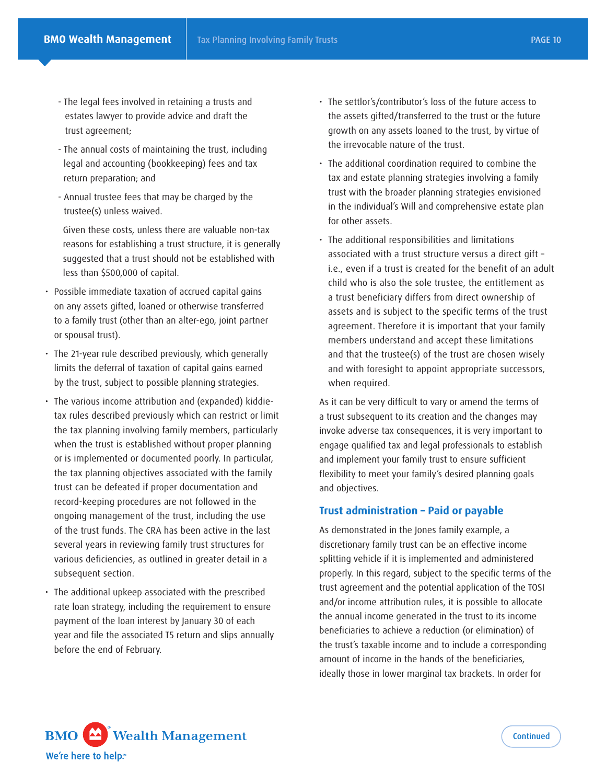- The legal fees involved in retaining a trusts and estates lawyer to provide advice and draft the trust agreement;
- The annual costs of maintaining the trust, including legal and accounting (bookkeeping) fees and tax return preparation; and
- Annual trustee fees that may be charged by the trustee(s) unless waived.

Given these costs, unless there are valuable non-tax reasons for establishing a trust structure, it is generally suggested that a trust should not be established with less than \$500,000 of capital.

- Possible immediate taxation of accrued capital gains on any assets gifted, loaned or otherwise transferred to a family trust (other than an alter-ego, joint partner or spousal trust).
- The 21-year rule described previously, which generally limits the deferral of taxation of capital gains earned by the trust, subject to possible planning strategies.
- The various income attribution and (expanded) kiddietax rules described previously which can restrict or limit the tax planning involving family members, particularly when the trust is established without proper planning or is implemented or documented poorly. In particular, the tax planning objectives associated with the family trust can be defeated if proper documentation and record-keeping procedures are not followed in the ongoing management of the trust, including the use of the trust funds. The CRA has been active in the last several years in reviewing family trust structures for various deficiencies, as outlined in greater detail in a subsequent section.
- The additional upkeep associated with the prescribed rate loan strategy, including the requirement to ensure payment of the loan interest by January 30 of each year and file the associated T5 return and slips annually before the end of February.
- The settlor's/contributor's loss of the future access to the assets gifted/transferred to the trust or the future growth on any assets loaned to the trust, by virtue of the irrevocable nature of the trust.
- The additional coordination required to combine the tax and estate planning strategies involving a family trust with the broader planning strategies envisioned in the individual's Will and comprehensive estate plan for other assets.
- The additional responsibilities and limitations associated with a trust structure versus a direct gift – i.e., even if a trust is created for the benefit of an adult child who is also the sole trustee, the entitlement as a trust beneficiary differs from direct ownership of assets and is subject to the specific terms of the trust agreement. Therefore it is important that your family members understand and accept these limitations and that the trustee(s) of the trust are chosen wisely and with foresight to appoint appropriate successors, when required.

As it can be very difficult to vary or amend the terms of a trust subsequent to its creation and the changes may invoke adverse tax consequences, it is very important to engage qualified tax and legal professionals to establish and implement your family trust to ensure sufficient flexibility to meet your family's desired planning goals and objectives.

### **Trust administration – Paid or payable**

As demonstrated in the Jones family example, a discretionary family trust can be an effective income splitting vehicle if it is implemented and administered properly. In this regard, subject to the specific terms of the trust agreement and the potential application of the TOSI and/or income attribution rules, it is possible to allocate the annual income generated in the trust to its income beneficiaries to achieve a reduction (or elimination) of the trust's taxable income and to include a corresponding amount of income in the hands of the beneficiaries, ideally those in lower marginal tax brackets. In order for

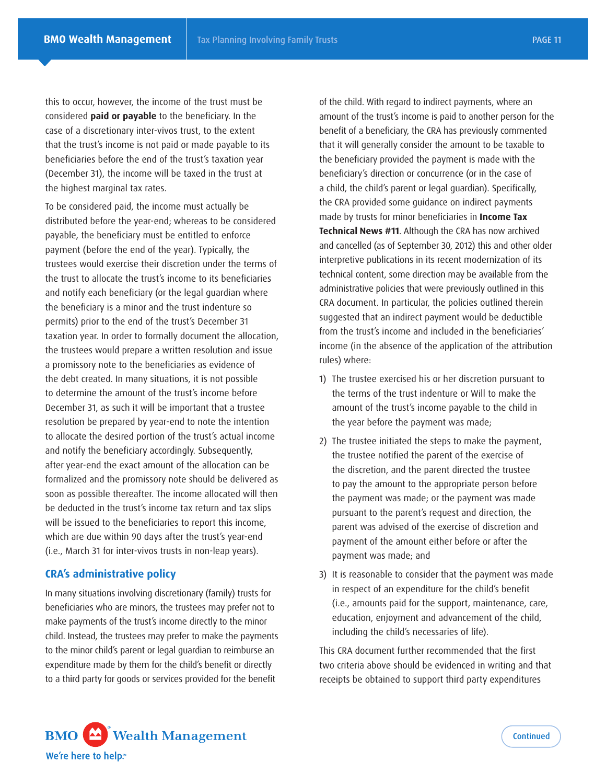this to occur, however, the income of the trust must be considered **paid or payable** to the beneficiary. In the case of a discretionary inter-vivos trust, to the extent that the trust's income is not paid or made payable to its beneficiaries before the end of the trust's taxation year (December 31), the income will be taxed in the trust at the highest marginal tax rates.

To be considered paid, the income must actually be distributed before the year-end; whereas to be considered payable, the beneficiary must be entitled to enforce payment (before the end of the year). Typically, the trustees would exercise their discretion under the terms of the trust to allocate the trust's income to its beneficiaries and notify each beneficiary (or the legal guardian where the beneficiary is a minor and the trust indenture so permits) prior to the end of the trust's December 31 taxation year. In order to formally document the allocation, the trustees would prepare a written resolution and issue a promissory note to the beneficiaries as evidence of the debt created. In many situations, it is not possible to determine the amount of the trust's income before December 31, as such it will be important that a trustee resolution be prepared by year-end to note the intention to allocate the desired portion of the trust's actual income and notify the beneficiary accordingly. Subsequently, after year-end the exact amount of the allocation can be formalized and the promissory note should be delivered as soon as possible thereafter. The income allocated will then be deducted in the trust's income tax return and tax slips will be issued to the beneficiaries to report this income, which are due within 90 days after the trust's year-end (i.e., March 31 for inter-vivos trusts in non-leap years).

## **CRA's administrative policy**

In many situations involving discretionary (family) trusts for beneficiaries who are minors, the trustees may prefer not to make payments of the trust's income directly to the minor child. Instead, the trustees may prefer to make the payments to the minor child's parent or legal guardian to reimburse an expenditure made by them for the child's benefit or directly to a third party for goods or services provided for the benefit

of the child. With regard to indirect payments, where an amount of the trust's income is paid to another person for the benefit of a beneficiary, the CRA has previously commented that it will generally consider the amount to be taxable to the beneficiary provided the payment is made with the beneficiary's direction or concurrence (or in the case of a child, the child's parent or legal guardian). Specifically, the CRA provided some guidance on indirect payments made by trusts for minor beneficiaries in **Income Tax Technical News #11**. Although the CRA has now archived and cancelled (as of September 30, 2012) this and other older interpretive publications in its recent modernization of its technical content, some direction may be available from the administrative policies that were previously outlined in this CRA document. In particular, the policies outlined therein suggested that an indirect payment would be deductible from the trust's income and included in the beneficiaries' income (in the absence of the application of the attribution rules) where:

- 1) The trustee exercised his or her discretion pursuant to the terms of the trust indenture or Will to make the amount of the trust's income payable to the child in the year before the payment was made;
- 2) The trustee initiated the steps to make the payment, the trustee notified the parent of the exercise of the discretion, and the parent directed the trustee to pay the amount to the appropriate person before the payment was made; or the payment was made pursuant to the parent's request and direction, the parent was advised of the exercise of discretion and payment of the amount either before or after the payment was made; and
- 3) It is reasonable to consider that the payment was made in respect of an expenditure for the child's benefit (i.e., amounts paid for the support, maintenance, care, education, enjoyment and advancement of the child, including the child's necessaries of life).

This CRA document further recommended that the first two criteria above should be evidenced in writing and that receipts be obtained to support third party expenditures

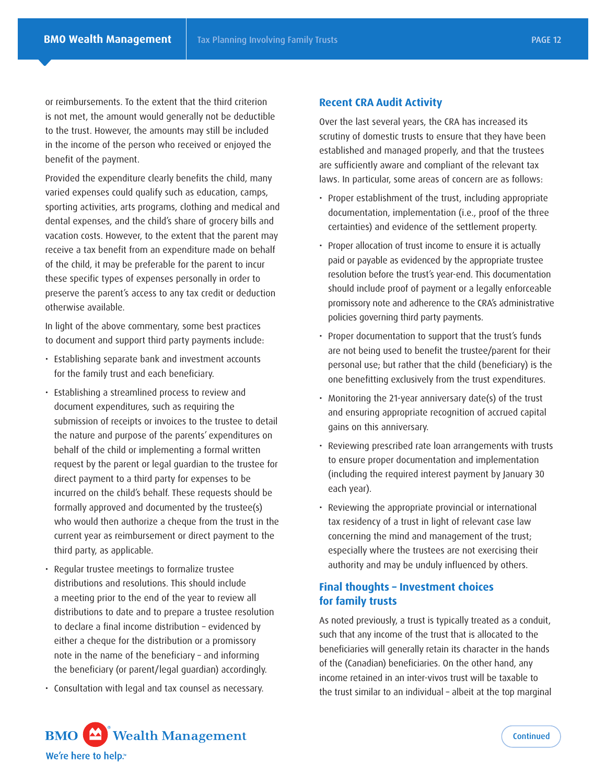or reimbursements. To the extent that the third criterion is not met, the amount would generally not be deductible to the trust. However, the amounts may still be included in the income of the person who received or enjoyed the benefit of the payment.

Provided the expenditure clearly benefits the child, many varied expenses could qualify such as education, camps, sporting activities, arts programs, clothing and medical and dental expenses, and the child's share of grocery bills and vacation costs. However, to the extent that the parent may receive a tax benefit from an expenditure made on behalf of the child, it may be preferable for the parent to incur these specific types of expenses personally in order to preserve the parent's access to any tax credit or deduction otherwise available.

In light of the above commentary, some best practices to document and support third party payments include:

- Establishing separate bank and investment accounts for the family trust and each beneficiary.
- Establishing a streamlined process to review and document expenditures, such as requiring the submission of receipts or invoices to the trustee to detail the nature and purpose of the parents' expenditures on behalf of the child or implementing a formal written request by the parent or legal guardian to the trustee for direct payment to a third party for expenses to be incurred on the child's behalf. These requests should be formally approved and documented by the trustee(s) who would then authorize a cheque from the trust in the current year as reimbursement or direct payment to the third party, as applicable.
- Regular trustee meetings to formalize trustee distributions and resolutions. This should include a meeting prior to the end of the year to review all distributions to date and to prepare a trustee resolution to declare a final income distribution – evidenced by either a cheque for the distribution or a promissory note in the name of the beneficiary – and informing the beneficiary (or parent/legal guardian) accordingly.
- Consultation with legal and tax counsel as necessary.

### **Recent CRA Audit Activity**

Over the last several years, the CRA has increased its scrutiny of domestic trusts to ensure that they have been established and managed properly, and that the trustees are sufficiently aware and compliant of the relevant tax laws. In particular, some areas of concern are as follows:

- Proper establishment of the trust, including appropriate documentation, implementation (i.e., proof of the three certainties) and evidence of the settlement property.
- Proper allocation of trust income to ensure it is actually paid or payable as evidenced by the appropriate trustee resolution before the trust's year-end. This documentation should include proof of payment or a legally enforceable promissory note and adherence to the CRA's administrative policies governing third party payments.
- Proper documentation to support that the trust's funds are not being used to benefit the trustee/parent for their personal use; but rather that the child (beneficiary) is the one benefitting exclusively from the trust expenditures.
- Monitoring the 21-year anniversary date(s) of the trust and ensuring appropriate recognition of accrued capital gains on this anniversary.
- Reviewing prescribed rate loan arrangements with trusts to ensure proper documentation and implementation (including the required interest payment by January 30 each year).
- Reviewing the appropriate provincial or international tax residency of a trust in light of relevant case law concerning the mind and management of the trust; especially where the trustees are not exercising their authority and may be unduly influenced by others.

# **Final thoughts – Investment choices for family trusts**

As noted previously, a trust is typically treated as a conduit, such that any income of the trust that is allocated to the beneficiaries will generally retain its character in the hands of the (Canadian) beneficiaries. On the other hand, any income retained in an inter-vivos trust will be taxable to the trust similar to an individual – albeit at the top marginal